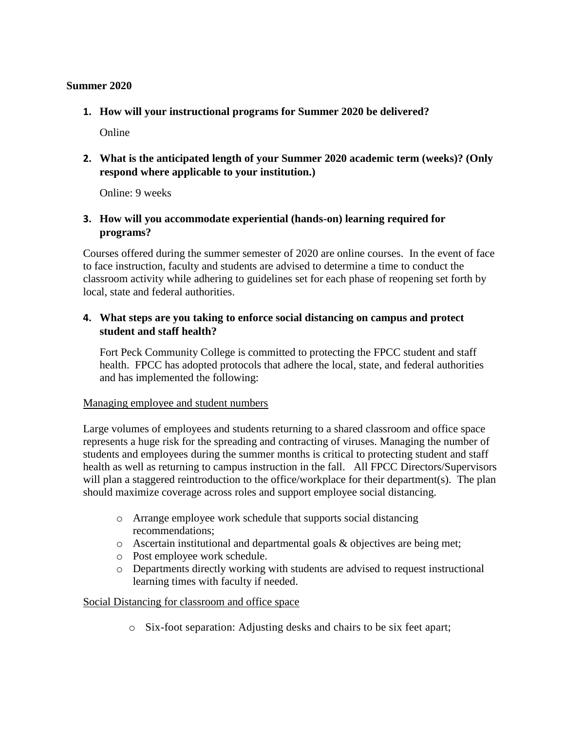## **Summer 2020**

**1. How will your instructional programs for Summer 2020 be delivered?**

Online

**2. What is the anticipated length of your Summer 2020 academic term (weeks)? (Only respond where applicable to your institution.)**

Online: 9 weeks

**3. How will you accommodate experiential (hands-on) learning required for programs?**

Courses offered during the summer semester of 2020 are online courses. In the event of face to face instruction, faculty and students are advised to determine a time to conduct the classroom activity while adhering to guidelines set for each phase of reopening set forth by local, state and federal authorities.

# **4. What steps are you taking to enforce social distancing on campus and protect student and staff health?**

Fort Peck Community College is committed to protecting the FPCC student and staff health. FPCC has adopted protocols that adhere the local, state, and federal authorities and has implemented the following:

#### Managing employee and student numbers

Large volumes of employees and students returning to a shared classroom and office space represents a huge risk for the spreading and contracting of viruses. Managing the number of students and employees during the summer months is critical to protecting student and staff health as well as returning to campus instruction in the fall. All FPCC Directors/Supervisors will plan a staggered reintroduction to the office/workplace for their department(s). The plan should maximize coverage across roles and support employee social distancing.

- o Arrange employee work schedule that supports social distancing recommendations;
- o Ascertain institutional and departmental goals & objectives are being met;
- o Post employee work schedule.
- o Departments directly working with students are advised to request instructional learning times with faculty if needed.

# Social Distancing for classroom and office space

o Six-foot separation: Adjusting desks and chairs to be six feet apart;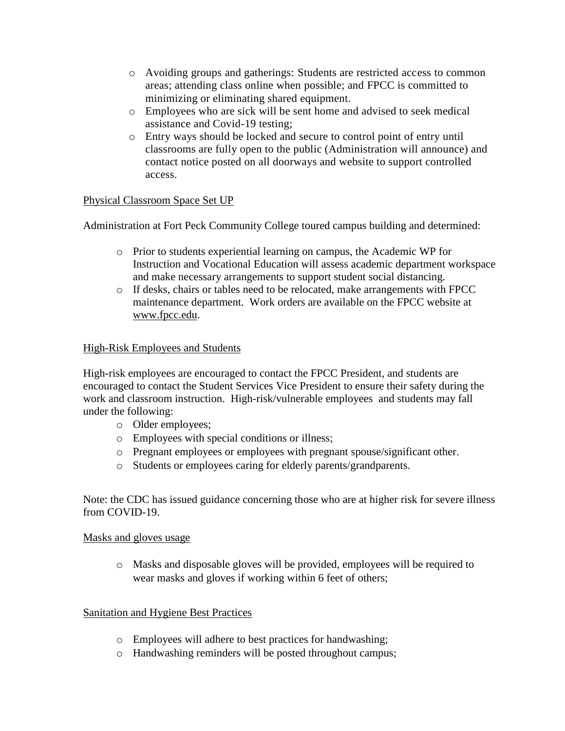- o Avoiding groups and gatherings: Students are restricted access to common areas; attending class online when possible; and FPCC is committed to minimizing or eliminating shared equipment.
- o Employees who are sick will be sent home and advised to seek medical assistance and Covid-19 testing;
- o Entry ways should be locked and secure to control point of entry until classrooms are fully open to the public (Administration will announce) and contact notice posted on all doorways and website to support controlled access.

# Physical Classroom Space Set UP

Administration at Fort Peck Community College toured campus building and determined:

- o Prior to students experiential learning on campus, the Academic WP for Instruction and Vocational Education will assess academic department workspace and make necessary arrangements to support student social distancing.
- o If desks, chairs or tables need to be relocated, make arrangements with FPCC maintenance department. Work orders are available on the FPCC website at [www.fpcc.edu.](http://www.fpcc.edu/)

## High-Risk Employees and Students

High-risk employees are encouraged to contact the FPCC President, and students are encouraged to contact the Student Services Vice President to ensure their safety during the work and classroom instruction. High-risk/vulnerable employees and students may fall under the following:

- o Older employees;
- o Employees with special conditions or illness;
- o Pregnant employees or employees with pregnant spouse/significant other.
- o Students or employees caring for elderly parents/grandparents.

Note: the CDC has issued guidance concerning those who are at higher risk for severe illness from COVID-19.

#### Masks and gloves usage

o Masks and disposable gloves will be provided, employees will be required to wear masks and gloves if working within 6 feet of others;

#### Sanitation and Hygiene Best Practices

- o Employees will adhere to best practices for handwashing;
- o Handwashing reminders will be posted throughout campus;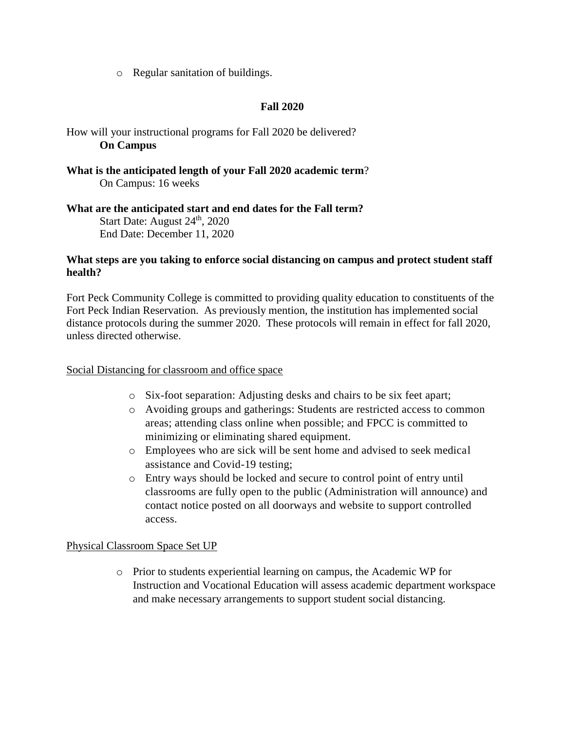o Regular sanitation of buildings.

## **Fall 2020**

How will your instructional programs for Fall 2020 be delivered? **On Campus**

**What is the anticipated length of your Fall 2020 academic term**? On Campus: 16 weeks

**What are the anticipated start and end dates for the Fall term?** Start Date: August  $24<sup>th</sup>$ ,  $2020$ End Date: December 11, 2020

#### **What steps are you taking to enforce social distancing on campus and protect student staff health?**

Fort Peck Community College is committed to providing quality education to constituents of the Fort Peck Indian Reservation. As previously mention, the institution has implemented social distance protocols during the summer 2020. These protocols will remain in effect for fall 2020, unless directed otherwise.

#### Social Distancing for classroom and office space

- o Six-foot separation: Adjusting desks and chairs to be six feet apart;
- o Avoiding groups and gatherings: Students are restricted access to common areas; attending class online when possible; and FPCC is committed to minimizing or eliminating shared equipment.
- o Employees who are sick will be sent home and advised to seek medical assistance and Covid-19 testing;
- o Entry ways should be locked and secure to control point of entry until classrooms are fully open to the public (Administration will announce) and contact notice posted on all doorways and website to support controlled access.

#### Physical Classroom Space Set UP

o Prior to students experiential learning on campus, the Academic WP for Instruction and Vocational Education will assess academic department workspace and make necessary arrangements to support student social distancing.